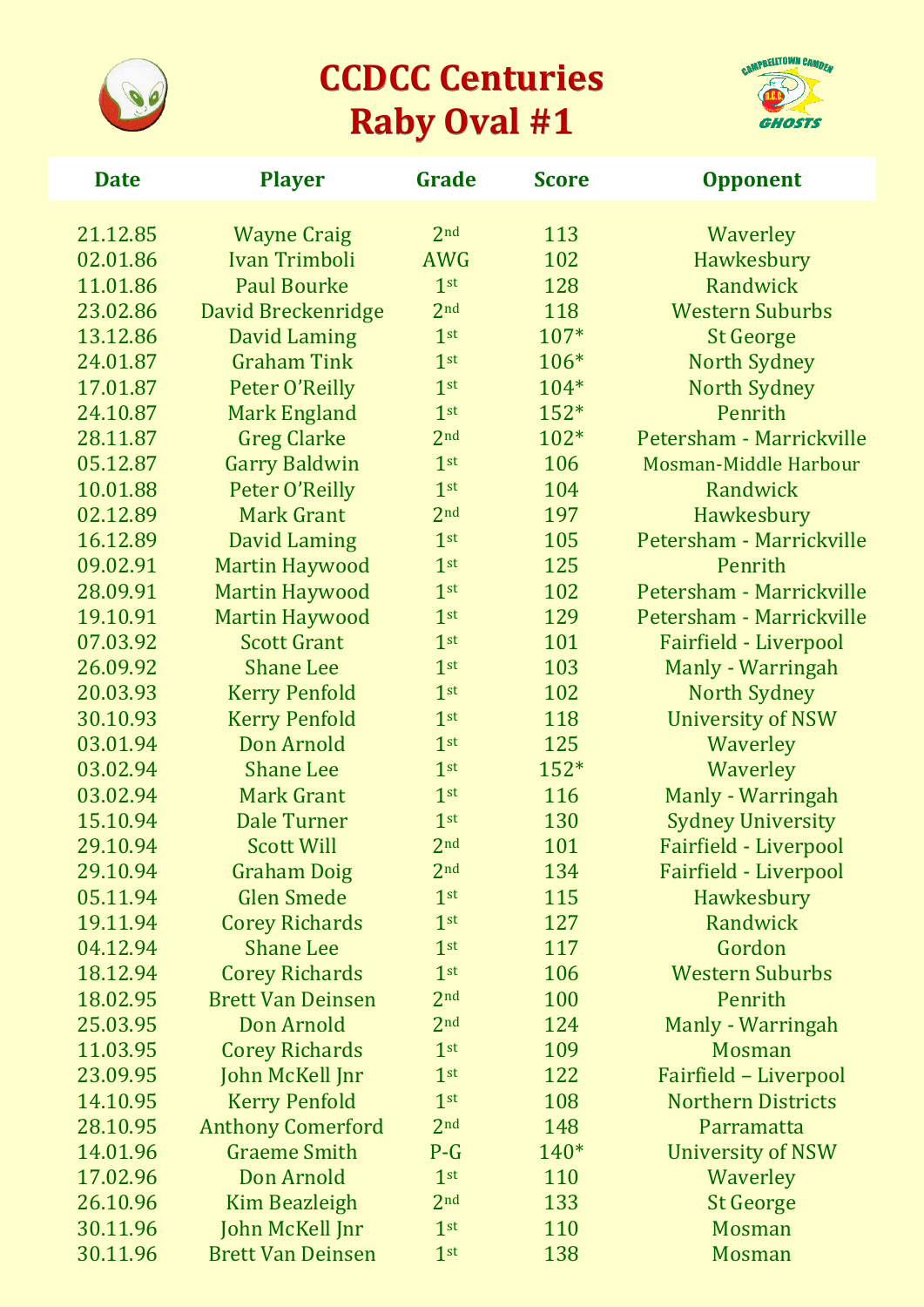

## **CCDCC Centuries Raby Oval #1**



| <b>Date</b> | <b>Player</b>            | Grade           | <b>Score</b> | <b>Opponent</b>              |
|-------------|--------------------------|-----------------|--------------|------------------------------|
| 21.12.85    | <b>Wayne Craig</b>       | 2 <sub>nd</sub> | 113          | Waverley                     |
| 02.01.86    | <b>Ivan Trimboli</b>     | <b>AWG</b>      | 102          | Hawkesbury                   |
| 11.01.86    | <b>Paul Bourke</b>       | 1 <sup>st</sup> | 128          | Randwick                     |
| 23.02.86    | David Breckenridge       | 2 <sub>nd</sub> | 118          | <b>Western Suburbs</b>       |
| 13.12.86    | David Laming             | 1 <sup>st</sup> | 107*         | <b>St George</b>             |
| 24.01.87    | <b>Graham Tink</b>       | 1 <sup>st</sup> | 106*         | <b>North Sydney</b>          |
| 17.01.87    | Peter O'Reilly           | 1 <sup>st</sup> | 104*         | <b>North Sydney</b>          |
| 24.10.87    | <b>Mark England</b>      | 1 <sup>st</sup> | $152*$       | Penrith                      |
| 28.11.87    | <b>Greg Clarke</b>       | 2 <sub>nd</sub> | 102*         | Petersham - Marrickville     |
| 05.12.87    | <b>Garry Baldwin</b>     | 1 <sup>st</sup> | 106          | Mosman-Middle Harbour        |
| 10.01.88    | Peter O'Reilly           | 1 <sup>st</sup> | 104          | Randwick                     |
| 02.12.89    | <b>Mark Grant</b>        | 2 <sub>nd</sub> | 197          | Hawkesbury                   |
| 16.12.89    | <b>David Laming</b>      | 1 <sup>st</sup> | 105          | Petersham - Marrickville     |
| 09.02.91    | <b>Martin Haywood</b>    | 1 <sup>st</sup> | 125          | Penrith                      |
| 28.09.91    | <b>Martin Haywood</b>    | 1 <sup>st</sup> | 102          | Petersham - Marrickville     |
| 19.10.91    | <b>Martin Haywood</b>    | 1 <sup>st</sup> | 129          | Petersham - Marrickville     |
| 07.03.92    | <b>Scott Grant</b>       | 1 <sup>st</sup> | 101          | <b>Fairfield - Liverpool</b> |
| 26.09.92    | <b>Shane Lee</b>         | 1 <sup>st</sup> | 103          | Manly - Warringah            |
| 20.03.93    | <b>Kerry Penfold</b>     | 1 <sup>st</sup> | 102          | <b>North Sydney</b>          |
| 30.10.93    | <b>Kerry Penfold</b>     | 1 <sup>st</sup> | 118          | <b>University of NSW</b>     |
| 03.01.94    | Don Arnold               | 1 <sup>st</sup> | 125          | Waverley                     |
| 03.02.94    | <b>Shane Lee</b>         | 1 <sup>st</sup> | $152*$       | Waverley                     |
| 03.02.94    | <b>Mark Grant</b>        | 1 <sup>st</sup> | 116          | Manly - Warringah            |
| 15.10.94    | <b>Dale Turner</b>       | 1 <sup>st</sup> | 130          | <b>Sydney University</b>     |
| 29.10.94    | <b>Scott Will</b>        | 2 <sub>nd</sub> | 101          | <b>Fairfield - Liverpool</b> |
| 29.10.94    | <b>Graham Doig</b>       | 2 <sub>nd</sub> | 134          | Fairfield - Liverpool        |
| 05.11.94    | <b>Glen Smede</b>        | 1 <sup>st</sup> | 115          | Hawkesbury                   |
| 19.11.94    | <b>Corey Richards</b>    | 1 <sup>st</sup> | 127          | Randwick                     |
| 04.12.94    | <b>Shane Lee</b>         | 1 <sup>st</sup> | 117          | Gordon                       |
| 18.12.94    | <b>Corey Richards</b>    | 1 <sup>st</sup> | 106          | <b>Western Suburbs</b>       |
| 18.02.95    | <b>Brett Van Deinsen</b> | 2 <sub>nd</sub> | 100          | Penrith                      |
| 25.03.95    | Don Arnold               | 2 <sub>nd</sub> | 124          | Manly - Warringah            |
| 11.03.95    | <b>Corey Richards</b>    | 1 <sup>st</sup> | 109          | <b>Mosman</b>                |
| 23.09.95    | John McKell Jnr          | 1 <sup>st</sup> | 122          | Fairfield - Liverpool        |
| 14.10.95    | <b>Kerry Penfold</b>     | 1 <sup>st</sup> | 108          | <b>Northern Districts</b>    |
| 28.10.95    | <b>Anthony Comerford</b> | 2 <sub>nd</sub> | 148          | Parramatta                   |
| 14.01.96    | <b>Graeme Smith</b>      | $P-G$           | 140*         | University of NSW            |
| 17.02.96    | Don Arnold               | 1 <sup>st</sup> | 110          | Waverley                     |
| 26.10.96    | Kim Beazleigh            | 2 <sub>nd</sub> | 133          | <b>St George</b>             |
| 30.11.96    | John McKell Jnr          | 1 <sup>st</sup> | 110          | <b>Mosman</b>                |
| 30.11.96    | <b>Brett Van Deinsen</b> | 1 <sup>st</sup> | 138          | <b>Mosman</b>                |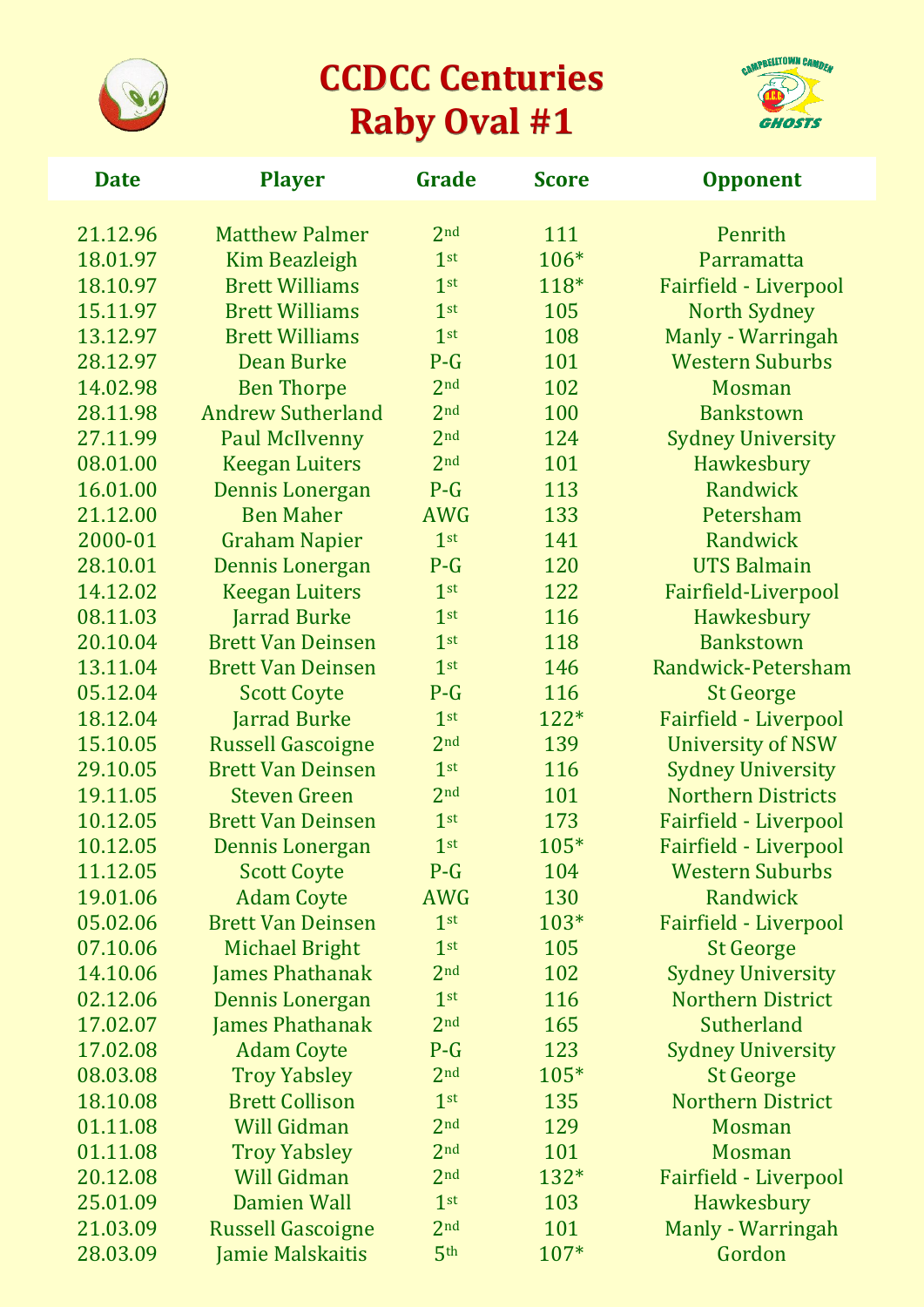

## **CCDCC Centuries Raby Oval #1**



| <b>Date</b> | <b>Player</b>            | Grade           | <b>Score</b> | <b>Opponent</b>              |
|-------------|--------------------------|-----------------|--------------|------------------------------|
| 21.12.96    | <b>Matthew Palmer</b>    | 2 <sub>nd</sub> | 111          | Penrith                      |
| 18.01.97    | <b>Kim Beazleigh</b>     | 1 <sup>st</sup> | 106*         | Parramatta                   |
| 18.10.97    | <b>Brett Williams</b>    | 1 <sup>st</sup> | 118*         | Fairfield - Liverpool        |
| 15.11.97    | <b>Brett Williams</b>    | 1 <sup>st</sup> | 105          | <b>North Sydney</b>          |
| 13.12.97    | <b>Brett Williams</b>    | 1 <sup>st</sup> | 108          | Manly - Warringah            |
| 28.12.97    | <b>Dean Burke</b>        | $P-G$           | 101          | <b>Western Suburbs</b>       |
| 14.02.98    | <b>Ben Thorpe</b>        | 2 <sub>nd</sub> | 102          | <b>Mosman</b>                |
| 28.11.98    | <b>Andrew Sutherland</b> | 2 <sub>nd</sub> | 100          | <b>Bankstown</b>             |
| 27.11.99    | <b>Paul McIlvenny</b>    | 2 <sub>nd</sub> | 124          | <b>Sydney University</b>     |
| 08.01.00    | <b>Keegan Luiters</b>    | 2 <sub>nd</sub> | 101          | Hawkesbury                   |
| 16.01.00    | Dennis Lonergan          | $P-G$           | 113          | Randwick                     |
| 21.12.00    | <b>Ben Maher</b>         | <b>AWG</b>      | 133          | Petersham                    |
| 2000-01     | <b>Graham Napier</b>     | 1 <sup>st</sup> | 141          | Randwick                     |
| 28.10.01    | Dennis Lonergan          | $P-G$           | 120          | <b>UTS Balmain</b>           |
| 14.12.02    | <b>Keegan Luiters</b>    | 1 <sup>st</sup> | 122          | Fairfield-Liverpool          |
| 08.11.03    | <b>Jarrad Burke</b>      | 1 <sup>st</sup> | 116          | Hawkesbury                   |
| 20.10.04    | <b>Brett Van Deinsen</b> | 1 <sup>st</sup> | 118          | <b>Bankstown</b>             |
| 13.11.04    | <b>Brett Van Deinsen</b> | 1 <sup>st</sup> | 146          | Randwick-Petersham           |
| 05.12.04    | <b>Scott Coyte</b>       | $P-G$           | 116          | <b>St George</b>             |
| 18.12.04    | <b>Jarrad Burke</b>      | 1 <sup>st</sup> | 122*         | <b>Fairfield - Liverpool</b> |
| 15.10.05    | <b>Russell Gascoigne</b> | 2 <sub>nd</sub> | 139          | <b>University of NSW</b>     |
| 29.10.05    | <b>Brett Van Deinsen</b> | 1 <sup>st</sup> | 116          | <b>Sydney University</b>     |
| 19.11.05    | <b>Steven Green</b>      | 2 <sub>nd</sub> | 101          | <b>Northern Districts</b>    |
| 10.12.05    | <b>Brett Van Deinsen</b> | 1 <sup>st</sup> | 173          | Fairfield - Liverpool        |
| 10.12.05    | Dennis Lonergan          | 1 <sup>st</sup> | 105*         | Fairfield - Liverpool        |
| 11.12.05    | Scott Coyte              | $P-G$           | 104          | <b>Western Suburbs</b>       |
| 19.01.06    | <b>Adam Coyte</b>        | <b>AWG</b>      | 130          | Randwick                     |
| 05.02.06    | <b>Brett Van Deinsen</b> | 1 <sup>st</sup> | 103*         | Fairfield - Liverpool        |
| 07.10.06    | <b>Michael Bright</b>    | 1 <sup>st</sup> | 105          | <b>St George</b>             |
| 14.10.06    | <b>James Phathanak</b>   | 2 <sub>nd</sub> | 102          | <b>Sydney University</b>     |
| 02.12.06    | <b>Dennis Lonergan</b>   | 1 <sup>st</sup> | 116          | <b>Northern District</b>     |
| 17.02.07    | <b>James Phathanak</b>   | 2 <sub>nd</sub> | 165          | Sutherland                   |
| 17.02.08    | <b>Adam Coyte</b>        | $P-G$           | 123          | <b>Sydney University</b>     |
| 08.03.08    | <b>Troy Yabsley</b>      | 2 <sub>nd</sub> | 105*         | <b>St George</b>             |
| 18.10.08    | <b>Brett Collison</b>    | 1 <sup>st</sup> | 135          | <b>Northern District</b>     |
| 01.11.08    | <b>Will Gidman</b>       | 2 <sub>nd</sub> | 129          | <b>Mosman</b>                |
| 01.11.08    | <b>Troy Yabsley</b>      | 2 <sub>nd</sub> | 101          | <b>Mosman</b>                |
| 20.12.08    | <b>Will Gidman</b>       | 2 <sub>nd</sub> | 132*         | <b>Fairfield - Liverpool</b> |
| 25.01.09    | <b>Damien Wall</b>       | 1 <sup>st</sup> | 103          | Hawkesbury                   |
| 21.03.09    | <b>Russell Gascoigne</b> | 2 <sub>nd</sub> | 101          | Manly - Warringah            |
| 28.03.09    | <b>Jamie Malskaitis</b>  | 5 <sup>th</sup> | 107*         | Gordon                       |